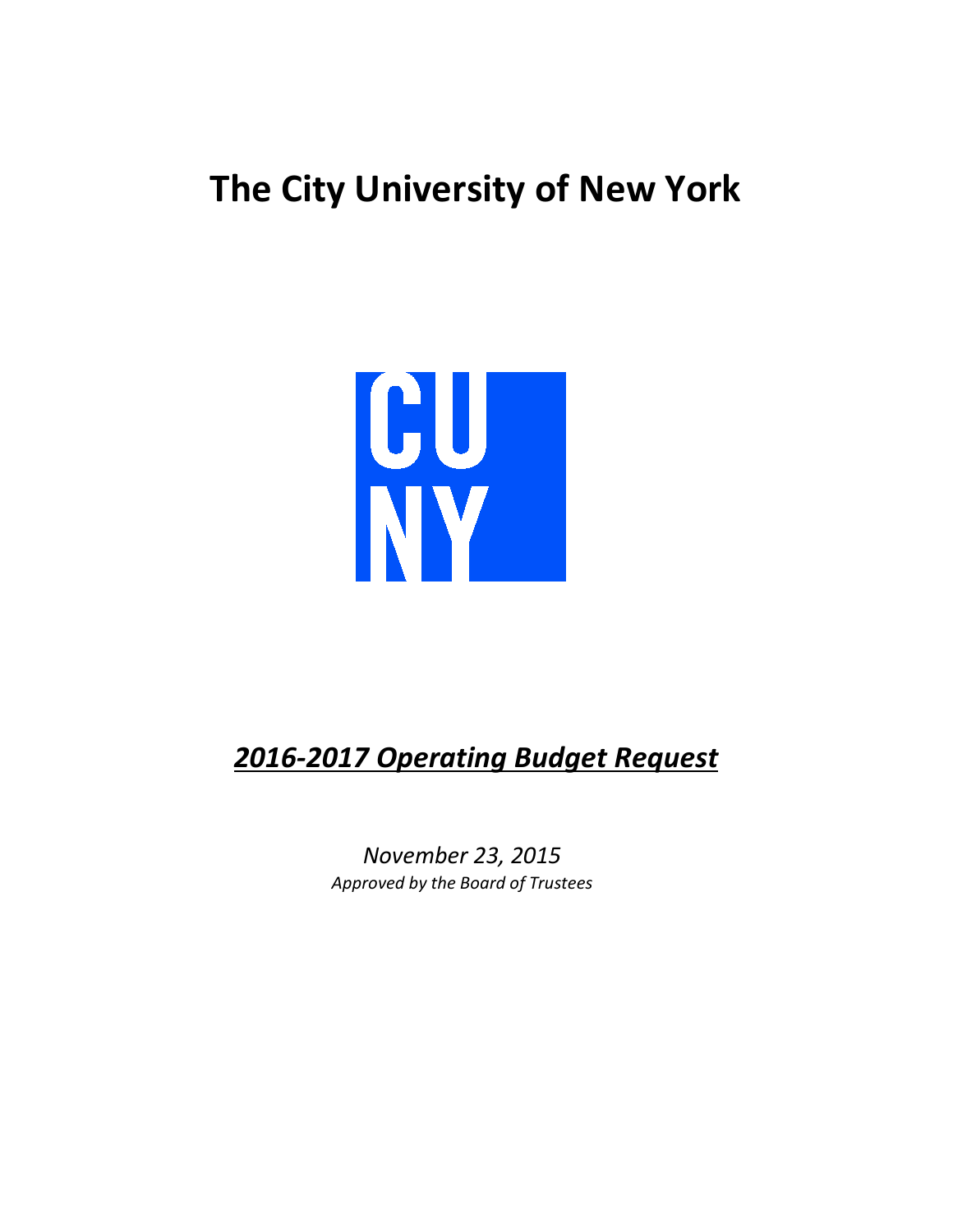# **The City University of New York**



# *2016-2017 Operating Budget Request*

*November 23, 2015 Approved by the Board of Trustees*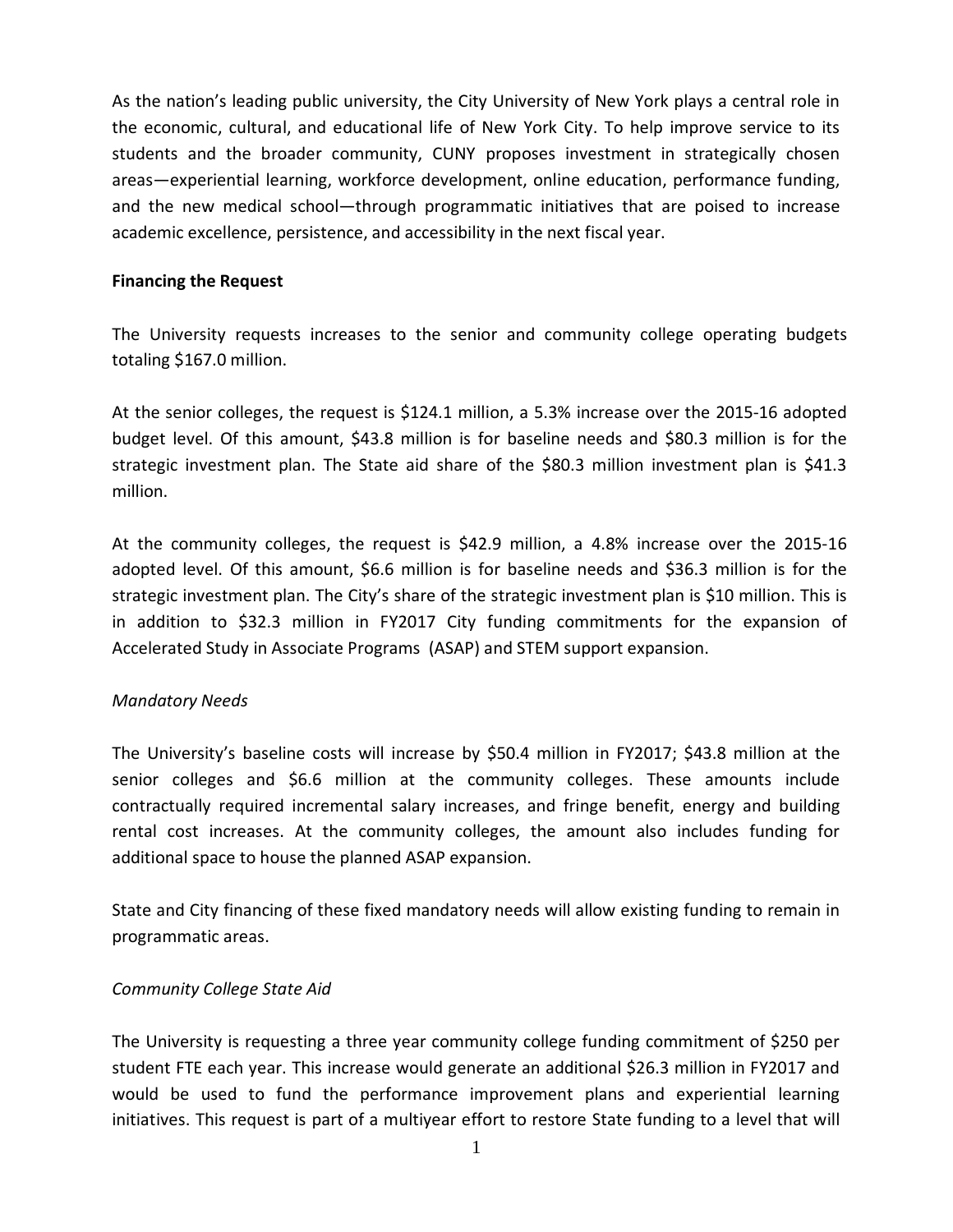As the nation's leading public university, the City University of New York plays a central role in the economic, cultural, and educational life of New York City. To help improve service to its students and the broader community, CUNY proposes investment in strategically chosen areas—experiential learning, workforce development, online education, performance funding, and the new medical school—through programmatic initiatives that are poised to increase academic excellence, persistence, and accessibility in the next fiscal year.

### **Financing the Request**

The University requests increases to the senior and community college operating budgets totaling \$167.0 million.

At the senior colleges, the request is \$124.1 million, a 5.3% increase over the 2015-16 adopted budget level. Of this amount, \$43.8 million is for baseline needs and \$80.3 million is for the strategic investment plan. The State aid share of the \$80.3 million investment plan is \$41.3 million.

At the community colleges, the request is \$42.9 million, a 4.8% increase over the 2015-16 adopted level. Of this amount, \$6.6 million is for baseline needs and \$36.3 million is for the strategic investment plan. The City's share of the strategic investment plan is \$10 million. This is in addition to \$32.3 million in FY2017 City funding commitments for the expansion of Accelerated Study in Associate Programs (ASAP) and STEM support expansion.

### *Mandatory Needs*

The University's baseline costs will increase by \$50.4 million in FY2017; \$43.8 million at the senior colleges and \$6.6 million at the community colleges. These amounts include contractually required incremental salary increases, and fringe benefit, energy and building rental cost increases. At the community colleges, the amount also includes funding for additional space to house the planned ASAP expansion.

State and City financing of these fixed mandatory needs will allow existing funding to remain in programmatic areas.

### *Community College State Aid*

The University is requesting a three year community college funding commitment of \$250 per student FTE each year. This increase would generate an additional \$26.3 million in FY2017 and would be used to fund the performance improvement plans and experiential learning initiatives. This request is part of a multiyear effort to restore State funding to a level that will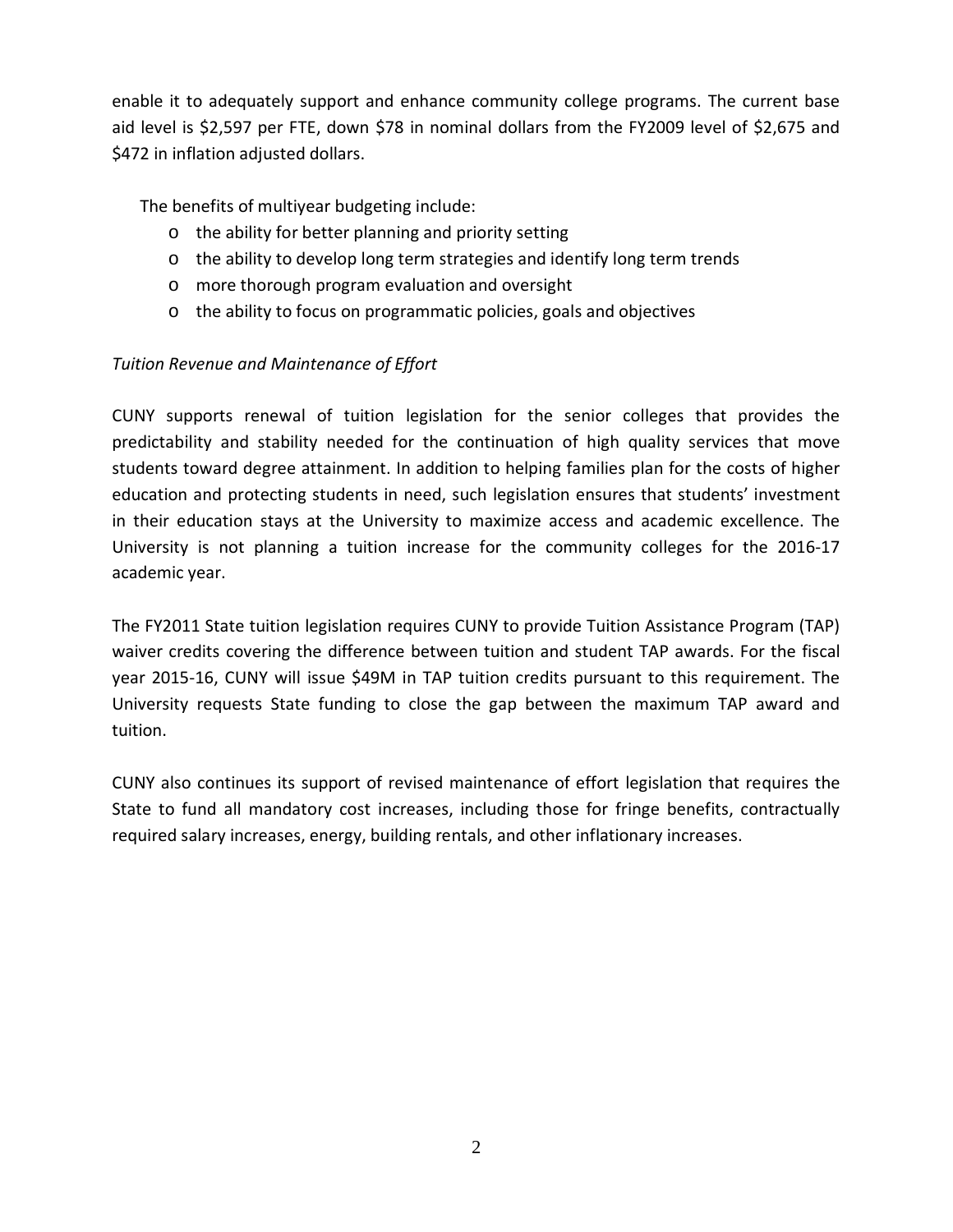enable it to adequately support and enhance community college programs. The current base aid level is \$2,597 per FTE, down \$78 in nominal dollars from the FY2009 level of \$2,675 and \$472 in inflation adjusted dollars.

The benefits of multiyear budgeting include:

- o the ability for better planning and priority setting
- o the ability to develop long term strategies and identify long term trends
- o more thorough program evaluation and oversight
- o the ability to focus on programmatic policies, goals and objectives

## *Tuition Revenue and Maintenance of Effort*

CUNY supports renewal of tuition legislation for the senior colleges that provides the predictability and stability needed for the continuation of high quality services that move students toward degree attainment. In addition to helping families plan for the costs of higher education and protecting students in need, such legislation ensures that students' investment in their education stays at the University to maximize access and academic excellence. The University is not planning a tuition increase for the community colleges for the 2016-17 academic year.

The FY2011 State tuition legislation requires CUNY to provide Tuition Assistance Program (TAP) waiver credits covering the difference between tuition and student TAP awards. For the fiscal year 2015-16, CUNY will issue \$49M in TAP tuition credits pursuant to this requirement. The University requests State funding to close the gap between the maximum TAP award and tuition.

CUNY also continues its support of revised maintenance of effort legislation that requires the State to fund all mandatory cost increases, including those for fringe benefits, contractually required salary increases, energy, building rentals, and other inflationary increases.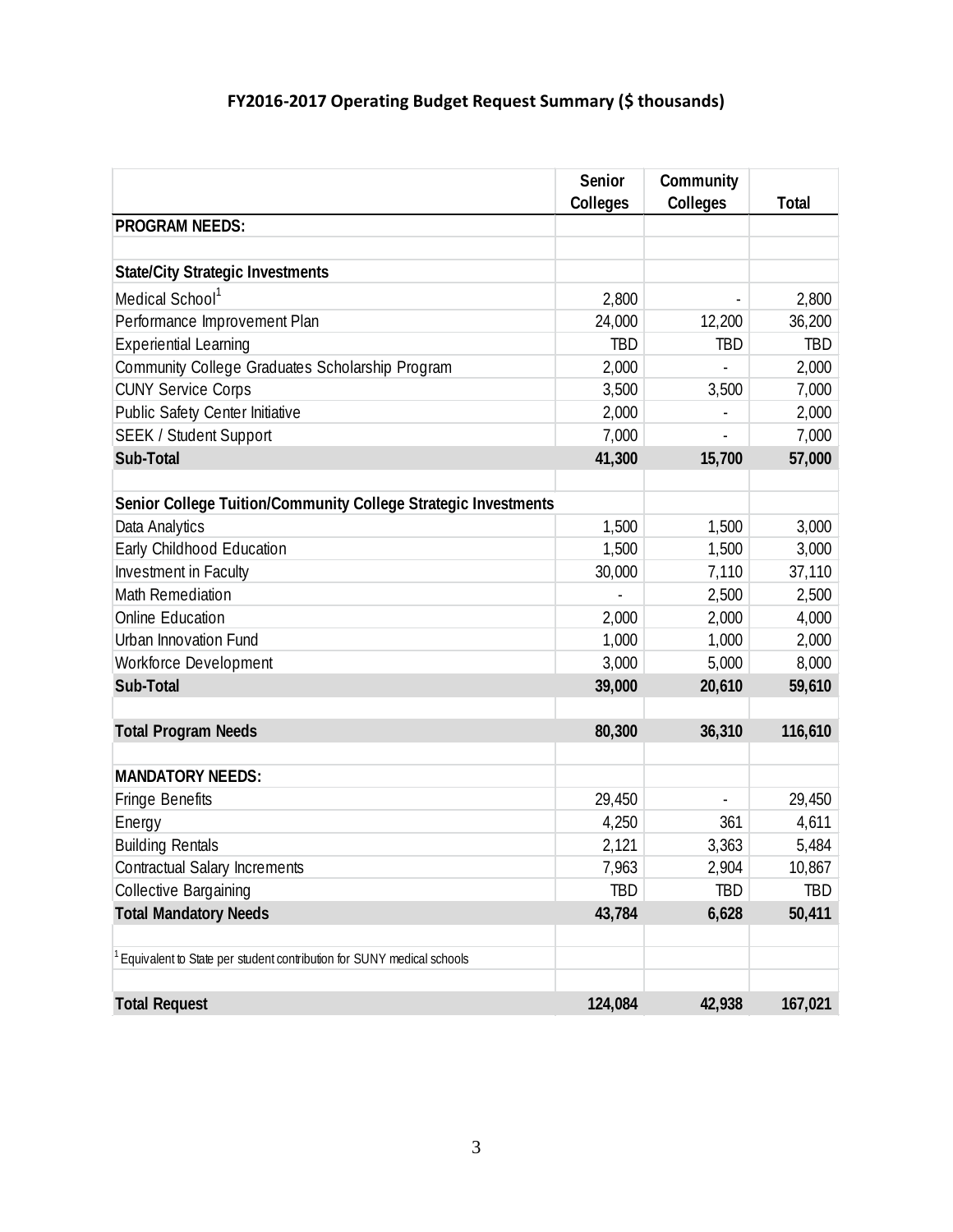# **FY2016-2017 Operating Budget Request Summary (\$ thousands)**

|                                                                       | Senior     | Community  |              |
|-----------------------------------------------------------------------|------------|------------|--------------|
|                                                                       | Colleges   | Colleges   | <b>Total</b> |
| <b>PROGRAM NEEDS:</b>                                                 |            |            |              |
|                                                                       |            |            |              |
| <b>State/City Strategic Investments</b>                               |            |            |              |
| Medical School <sup>1</sup>                                           | 2,800      |            | 2,800        |
| Performance Improvement Plan                                          | 24,000     | 12,200     | 36,200       |
| <b>Experiential Learning</b>                                          | <b>TBD</b> | <b>TBD</b> | <b>TBD</b>   |
| Community College Graduates Scholarship Program                       | 2,000      |            | 2,000        |
| <b>CUNY Service Corps</b>                                             | 3,500      | 3,500      | 7,000        |
| Public Safety Center Initiative                                       | 2,000      |            | 2,000        |
| <b>SEEK / Student Support</b>                                         | 7,000      |            | 7,000        |
| Sub-Total                                                             | 41,300     | 15,700     | 57,000       |
|                                                                       |            |            |              |
| Senior College Tuition/Community College Strategic Investments        |            |            |              |
| Data Analytics                                                        | 1,500      | 1,500      | 3,000        |
| Early Childhood Education                                             | 1,500      | 1,500      | 3,000        |
| Investment in Faculty                                                 | 30,000     | 7,110      | 37,110       |
| Math Remediation                                                      |            | 2,500      | 2,500        |
| Online Education                                                      | 2,000      | 2,000      | 4,000        |
| Urban Innovation Fund                                                 | 1,000      | 1,000      | 2,000        |
| Workforce Development                                                 | 3,000      | 5,000      | 8,000        |
| Sub-Total                                                             | 39,000     | 20,610     | 59,610       |
|                                                                       |            |            |              |
| <b>Total Program Needs</b>                                            | 80,300     | 36,310     | 116,610      |
|                                                                       |            |            |              |
| <b>MANDATORY NEEDS:</b>                                               |            |            |              |
| <b>Fringe Benefits</b>                                                | 29,450     |            | 29,450       |
| Energy                                                                | 4,250      | 361        | 4,611        |
| <b>Building Rentals</b>                                               | 2,121      | 3,363      | 5,484        |
| <b>Contractual Salary Increments</b>                                  | 7,963      | 2,904      | 10,867       |
| Collective Bargaining                                                 | <b>TBD</b> | TBD        | TBD          |
| <b>Total Mandatory Needs</b>                                          | 43,784     | 6,628      | 50,411       |
|                                                                       |            |            |              |
| Equivalent to State per student contribution for SUNY medical schools |            |            |              |
|                                                                       |            |            |              |
| <b>Total Request</b>                                                  | 124,084    | 42,938     | 167,021      |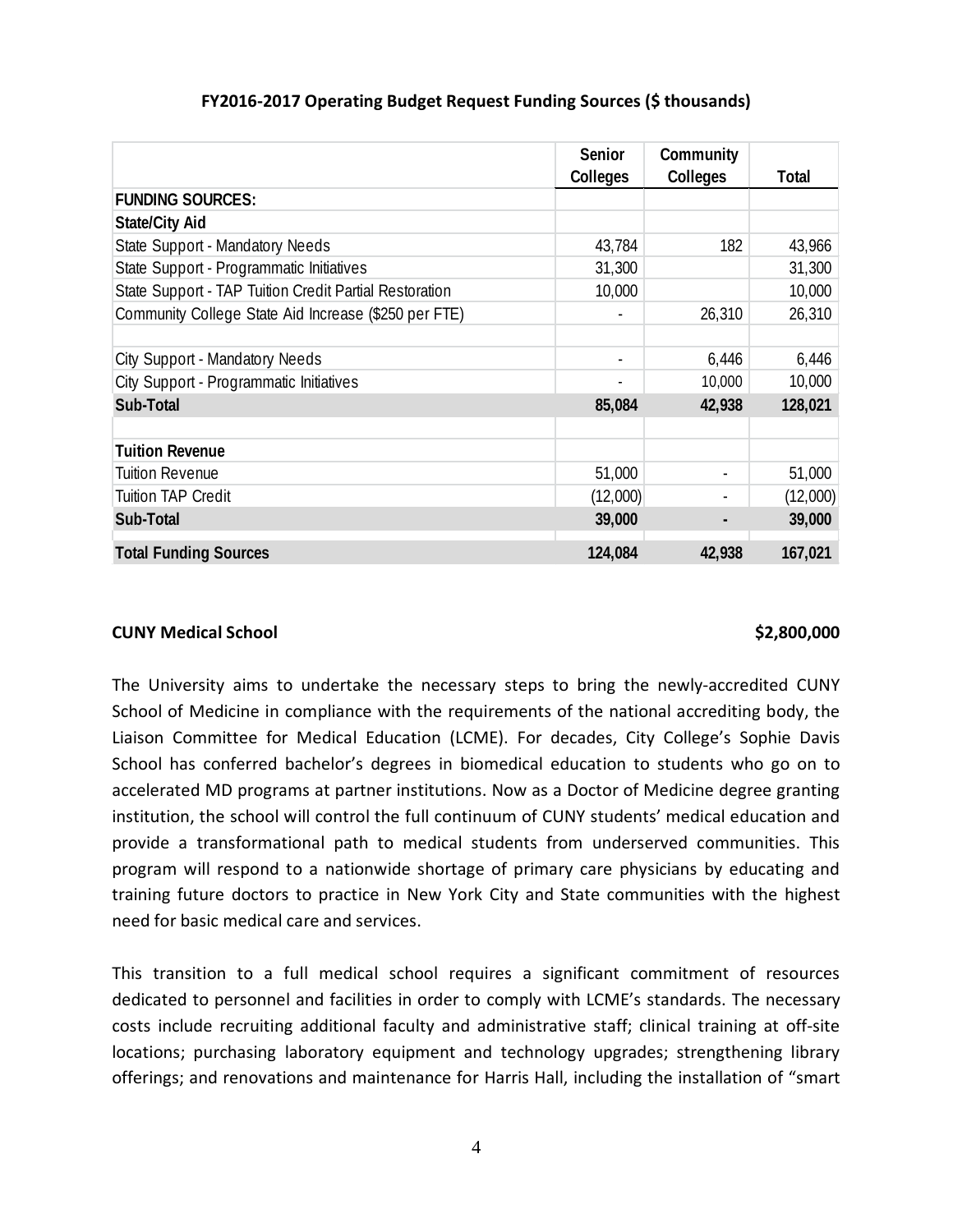|                                                        | Senior<br>Colleges       | Community<br>Colleges | <b>Total</b> |
|--------------------------------------------------------|--------------------------|-----------------------|--------------|
| <b>FUNDING SOURCES:</b>                                |                          |                       |              |
| <b>State/City Aid</b>                                  |                          |                       |              |
| State Support - Mandatory Needs                        | 43,784                   | 182                   | 43,966       |
| State Support - Programmatic Initiatives               | 31,300                   |                       | 31,300       |
| State Support - TAP Tuition Credit Partial Restoration | 10,000                   |                       | 10,000       |
| Community College State Aid Increase (\$250 per FTE)   | $\overline{\phantom{a}}$ | 26,310                | 26,310       |
| City Support - Mandatory Needs                         | $\overline{\phantom{a}}$ | 6,446                 | 6,446        |
| City Support - Programmatic Initiatives                |                          | 10,000                | 10,000       |
| Sub-Total                                              | 85,084                   | 42,938                | 128,021      |
| <b>Tuition Revenue</b>                                 |                          |                       |              |
| <b>Tuition Revenue</b>                                 | 51,000                   |                       | 51,000       |
| <b>Tuition TAP Credit</b>                              | (12,000)                 |                       | (12,000)     |
| Sub-Total                                              | 39,000                   |                       | 39,000       |
| <b>Total Funding Sources</b>                           | 124,084                  | 42,938                | 167,021      |

### **FY2016-2017 Operating Budget Request Funding Sources (\$ thousands)**

### **CUNY Medical School \$2,800,000**

The University aims to undertake the necessary steps to bring the newly-accredited CUNY School of Medicine in compliance with the requirements of the national accrediting body, the Liaison Committee for Medical Education (LCME). For decades, City College's Sophie Davis School has conferred bachelor's degrees in biomedical education to students who go on to accelerated MD programs at partner institutions. Now as a Doctor of Medicine degree granting institution, the school will control the full continuum of CUNY students' medical education and provide a transformational path to medical students from underserved communities. This program will respond to a nationwide shortage of primary care physicians by educating and training future doctors to practice in New York City and State communities with the highest need for basic medical care and services.

This transition to a full medical school requires a significant commitment of resources dedicated to personnel and facilities in order to comply with LCME's standards. The necessary costs include recruiting additional faculty and administrative staff; clinical training at off-site locations; purchasing laboratory equipment and technology upgrades; strengthening library offerings; and renovations and maintenance for Harris Hall, including the installation of "smart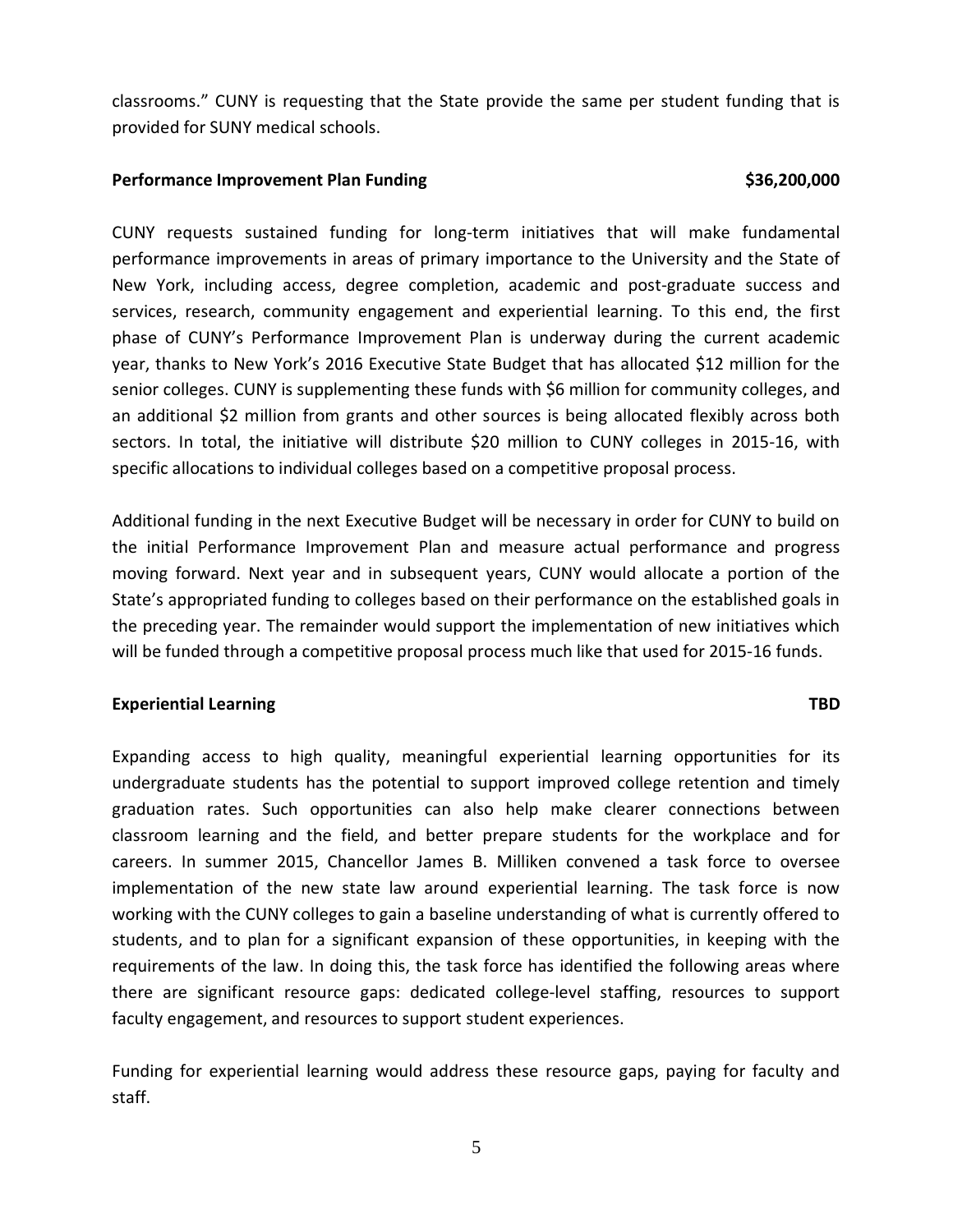classrooms." CUNY is requesting that the State provide the same per student funding that is provided for SUNY medical schools.

### **Performance Improvement Plan Funding \$36,200,000**

CUNY requests sustained funding for long-term initiatives that will make fundamental performance improvements in areas of primary importance to the University and the State of New York, including access, degree completion, academic and post-graduate success and services, research, community engagement and experiential learning. To this end, the first phase of CUNY's Performance Improvement Plan is underway during the current academic year, thanks to New York's 2016 Executive State Budget that has allocated \$12 million for the senior colleges. CUNY is supplementing these funds with \$6 million for community colleges, and an additional \$2 million from grants and other sources is being allocated flexibly across both sectors. In total, the initiative will distribute \$20 million to CUNY colleges in 2015-16, with specific allocations to individual colleges based on a competitive proposal process.

Additional funding in the next Executive Budget will be necessary in order for CUNY to build on the initial Performance Improvement Plan and measure actual performance and progress moving forward. Next year and in subsequent years, CUNY would allocate a portion of the State's appropriated funding to colleges based on their performance on the established goals in the preceding year. The remainder would support the implementation of new initiatives which will be funded through a competitive proposal process much like that used for 2015-16 funds.

### **Experiential Learning TBD**

Expanding access to high quality, meaningful experiential learning opportunities for its undergraduate students has the potential to support improved college retention and timely graduation rates. Such opportunities can also help make clearer connections between classroom learning and the field, and better prepare students for the workplace and for careers. In summer 2015, Chancellor James B. Milliken convened a task force to oversee implementation of the new state law around experiential learning. The task force is now working with the CUNY colleges to gain a baseline understanding of what is currently offered to students, and to plan for a significant expansion of these opportunities, in keeping with the requirements of the law. In doing this, the task force has identified the following areas where there are significant resource gaps: dedicated college-level staffing, resources to support faculty engagement, and resources to support student experiences.

Funding for experiential learning would address these resource gaps, paying for faculty and staff.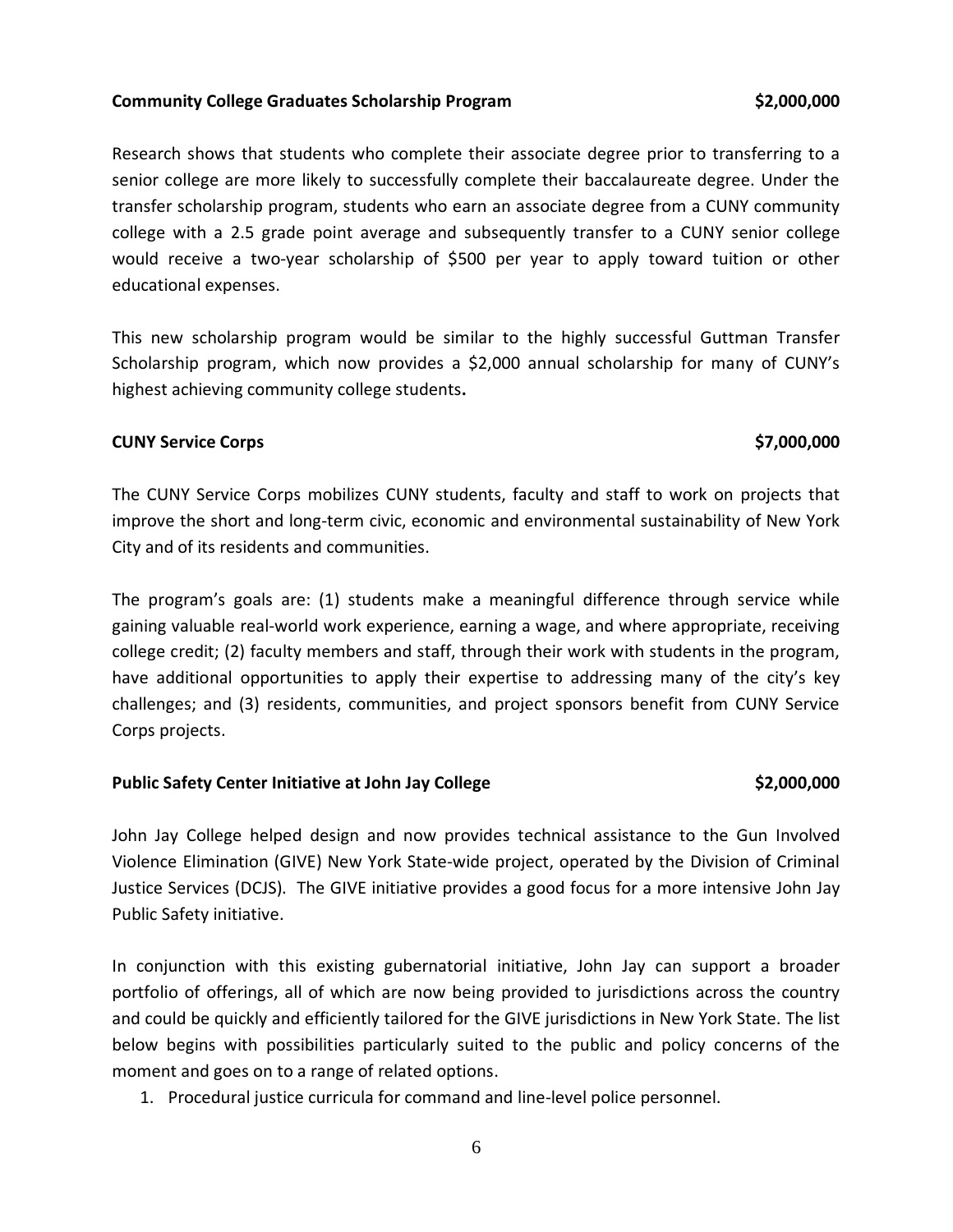### **Community College Graduates Scholarship Program \$2,000,000**

Research shows that students who complete their associate degree prior to transferring to a senior college are more likely to successfully complete their baccalaureate degree. Under the transfer scholarship program, students who earn an associate degree from a CUNY community college with a 2.5 grade point average and subsequently transfer to a CUNY senior college would receive a two-year scholarship of \$500 per year to apply toward tuition or other educational expenses.

This new scholarship program would be similar to the highly successful Guttman Transfer Scholarship program, which now provides a \$2,000 annual scholarship for many of CUNY's highest achieving community college students**.** 

### **CUNY Service Corps \$7,000,000**

The CUNY Service Corps mobilizes CUNY students, faculty and staff to work on projects that improve the short and long-term civic, economic and environmental sustainability of New York City and of its residents and communities.

The program's goals are: (1) students make a meaningful difference through service while gaining valuable real-world work experience, earning a wage, and where appropriate, receiving college credit; (2) faculty members and staff, through their work with students in the program, have additional opportunities to apply their expertise to addressing many of the city's key challenges; and (3) residents, communities, and project sponsors benefit from CUNY Service Corps projects.

### **Public Safety Center Initiative at John Jay College \$2,000,000**

John Jay College helped design and now provides technical assistance to the Gun Involved Violence Elimination (GIVE) New York State-wide project, operated by the Division of Criminal Justice Services (DCJS). The GIVE initiative provides a good focus for a more intensive John Jay Public Safety initiative.

In conjunction with this existing gubernatorial initiative, John Jay can support a broader portfolio of offerings, all of which are now being provided to jurisdictions across the country and could be quickly and efficiently tailored for the GIVE jurisdictions in New York State. The list below begins with possibilities particularly suited to the public and policy concerns of the moment and goes on to a range of related options.

1. Procedural justice curricula for command and line-level police personnel.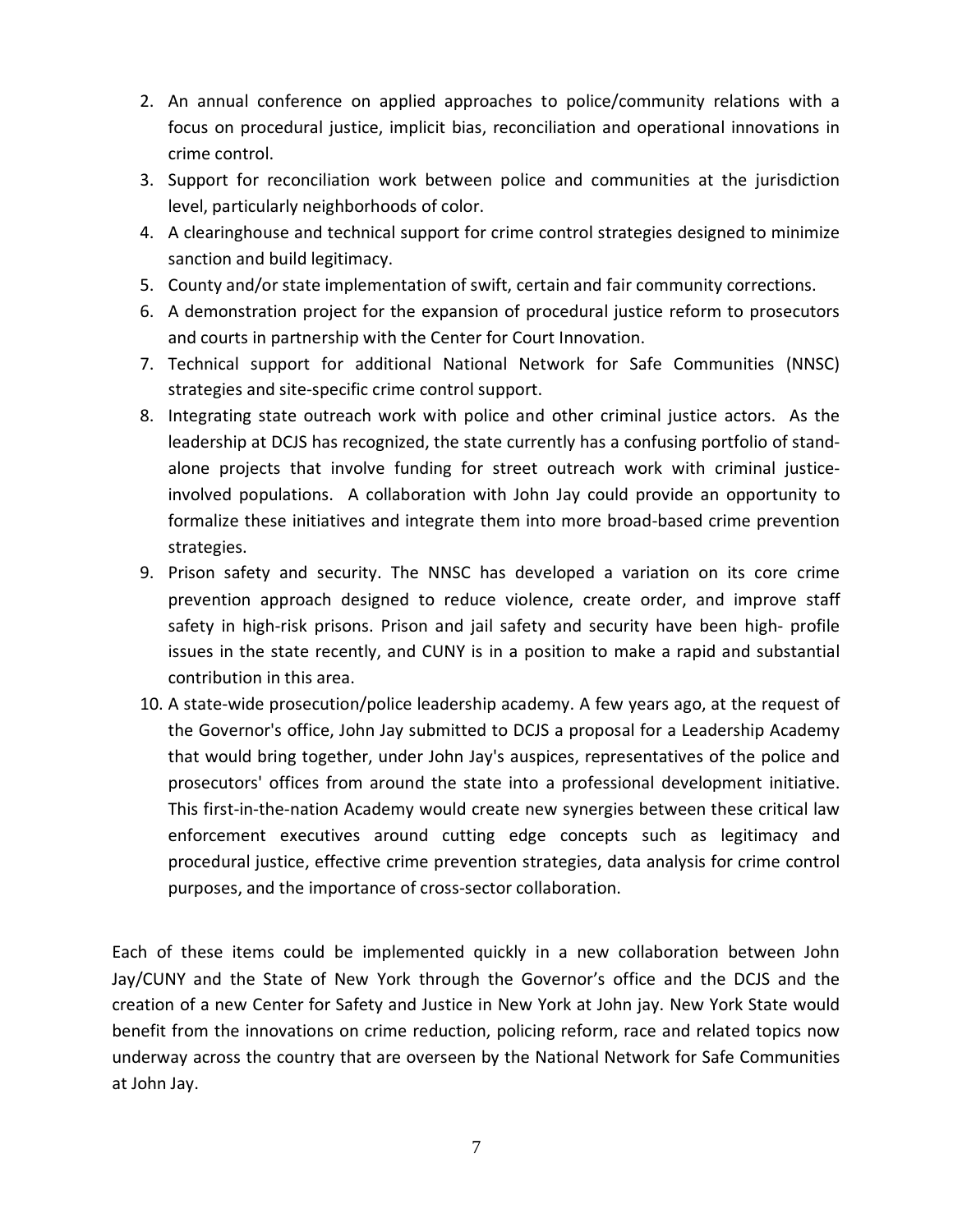- 2. An annual conference on applied approaches to police/community relations with a focus on procedural justice, implicit bias, reconciliation and operational innovations in crime control.
- 3. Support for reconciliation work between police and communities at the jurisdiction level, particularly neighborhoods of color.
- 4. A clearinghouse and technical support for crime control strategies designed to minimize sanction and build legitimacy.
- 5. County and/or state implementation of swift, certain and fair community corrections.
- 6. A demonstration project for the expansion of procedural justice reform to prosecutors and courts in partnership with the Center for Court Innovation.
- 7. Technical support for additional National Network for Safe Communities (NNSC) strategies and site-specific crime control support.
- 8. Integrating state outreach work with police and other criminal justice actors. As the leadership at DCJS has recognized, the state currently has a confusing portfolio of standalone projects that involve funding for street outreach work with criminal justiceinvolved populations. A collaboration with John Jay could provide an opportunity to formalize these initiatives and integrate them into more broad-based crime prevention strategies.
- 9. Prison safety and security. The NNSC has developed a variation on its core crime prevention approach designed to reduce violence, create order, and improve staff safety in high-risk prisons. Prison and jail safety and security have been high- profile issues in the state recently, and CUNY is in a position to make a rapid and substantial contribution in this area.
- 10. A state-wide prosecution/police leadership academy. A few years ago, at the request of the Governor's office, John Jay submitted to DCJS a proposal for a Leadership Academy that would bring together, under John Jay's auspices, representatives of the police and prosecutors' offices from around the state into a professional development initiative. This first-in-the-nation Academy would create new synergies between these critical law enforcement executives around cutting edge concepts such as legitimacy and procedural justice, effective crime prevention strategies, data analysis for crime control purposes, and the importance of cross-sector collaboration.

Each of these items could be implemented quickly in a new collaboration between John Jay/CUNY and the State of New York through the Governor's office and the DCJS and the creation of a new Center for Safety and Justice in New York at John jay. New York State would benefit from the innovations on crime reduction, policing reform, race and related topics now underway across the country that are overseen by the National Network for Safe Communities at John Jay.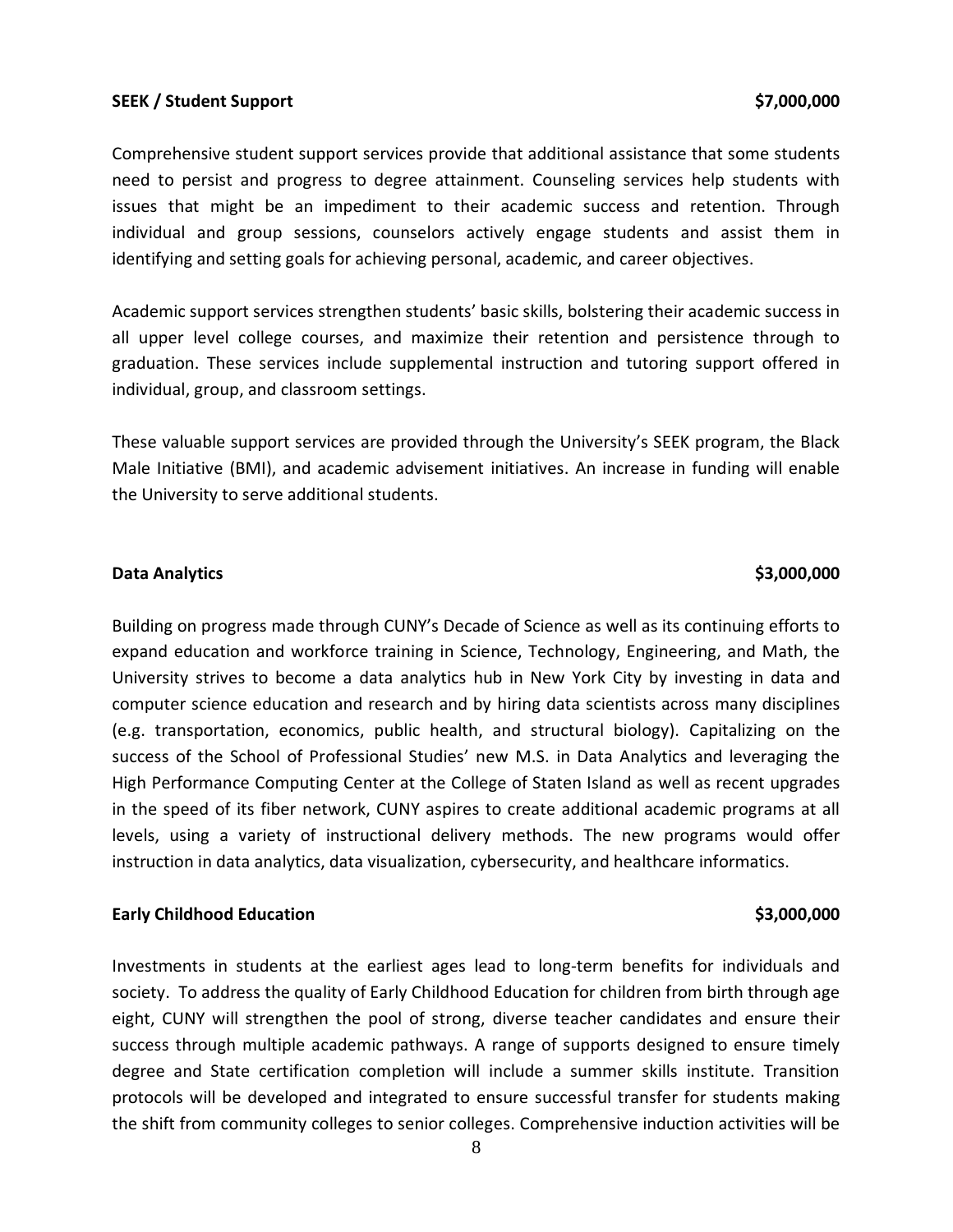### **SEEK / Student Support \$7,000,000**

Comprehensive student support services provide that additional assistance that some students need to persist and progress to degree attainment. Counseling services help students with issues that might be an impediment to their academic success and retention. Through individual and group sessions, counselors actively engage students and assist them in identifying and setting goals for achieving personal, academic, and career objectives.

Academic support services strengthen students' basic skills, bolstering their academic success in all upper level college courses, and maximize their retention and persistence through to graduation. These services include supplemental instruction and tutoring support offered in individual, group, and classroom settings.

These valuable support services are provided through the University's SEEK program, the Black Male Initiative (BMI), and academic advisement initiatives. An increase in funding will enable the University to serve additional students.

### **Data Analytics \$3,000,000**

Building on progress made through CUNY's Decade of Science as well as its continuing efforts to expand education and workforce training in Science, Technology, Engineering, and Math, the University strives to become a data analytics hub in New York City by investing in data and computer science education and research and by hiring data scientists across many disciplines (e.g. transportation, economics, public health, and structural biology). Capitalizing on the success of the School of Professional Studies' new M.S. in Data Analytics and leveraging the High Performance Computing Center at the College of Staten Island as well as recent upgrades in the speed of its fiber network, CUNY aspires to create additional academic programs at all levels, using a variety of instructional delivery methods. The new programs would offer instruction in data analytics, data visualization, cybersecurity, and healthcare informatics.

### **Early Childhood Education \$3,000,000**

Investments in students at the earliest ages lead to long-term benefits for individuals and society. To address the quality of Early Childhood Education for children from birth through age eight, CUNY will strengthen the pool of strong, diverse teacher candidates and ensure their success through multiple academic pathways. A range of supports designed to ensure timely degree and State certification completion will include a summer skills institute. Transition protocols will be developed and integrated to ensure successful transfer for students making the shift from community colleges to senior colleges. Comprehensive induction activities will be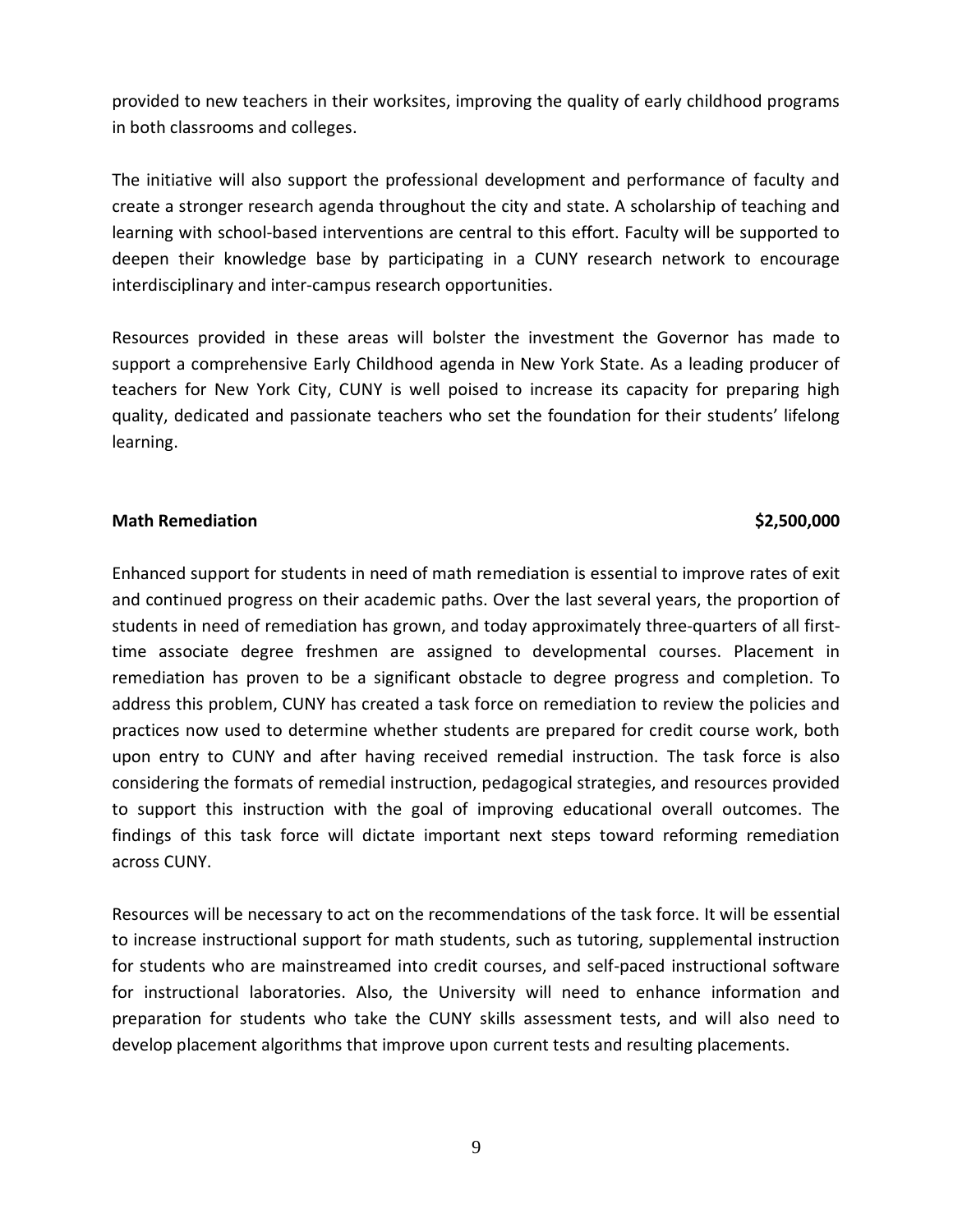provided to new teachers in their worksites, improving the quality of early childhood programs in both classrooms and colleges.

The initiative will also support the professional development and performance of faculty and create a stronger research agenda throughout the city and state. A scholarship of teaching and learning with school-based interventions are central to this effort. Faculty will be supported to deepen their knowledge base by participating in a CUNY research network to encourage interdisciplinary and inter-campus research opportunities.

Resources provided in these areas will bolster the investment the Governor has made to support a comprehensive Early Childhood agenda in New York State. As a leading producer of teachers for New York City, CUNY is well poised to increase its capacity for preparing high quality, dedicated and passionate teachers who set the foundation for their students' lifelong learning.

### **Math Remediation \$2,500,000**

Enhanced support for students in need of math remediation is essential to improve rates of exit and continued progress on their academic paths. Over the last several years, the proportion of students in need of remediation has grown, and today approximately three-quarters of all firsttime associate degree freshmen are assigned to developmental courses. Placement in remediation has proven to be a significant obstacle to degree progress and completion. To address this problem, CUNY has created a task force on remediation to review the policies and practices now used to determine whether students are prepared for credit course work, both upon entry to CUNY and after having received remedial instruction. The task force is also considering the formats of remedial instruction, pedagogical strategies, and resources provided to support this instruction with the goal of improving educational overall outcomes. The findings of this task force will dictate important next steps toward reforming remediation across CUNY.

Resources will be necessary to act on the recommendations of the task force. It will be essential to increase instructional support for math students, such as tutoring, supplemental instruction for students who are mainstreamed into credit courses, and self-paced instructional software for instructional laboratories. Also, the University will need to enhance information and preparation for students who take the CUNY skills assessment tests, and will also need to develop placement algorithms that improve upon current tests and resulting placements.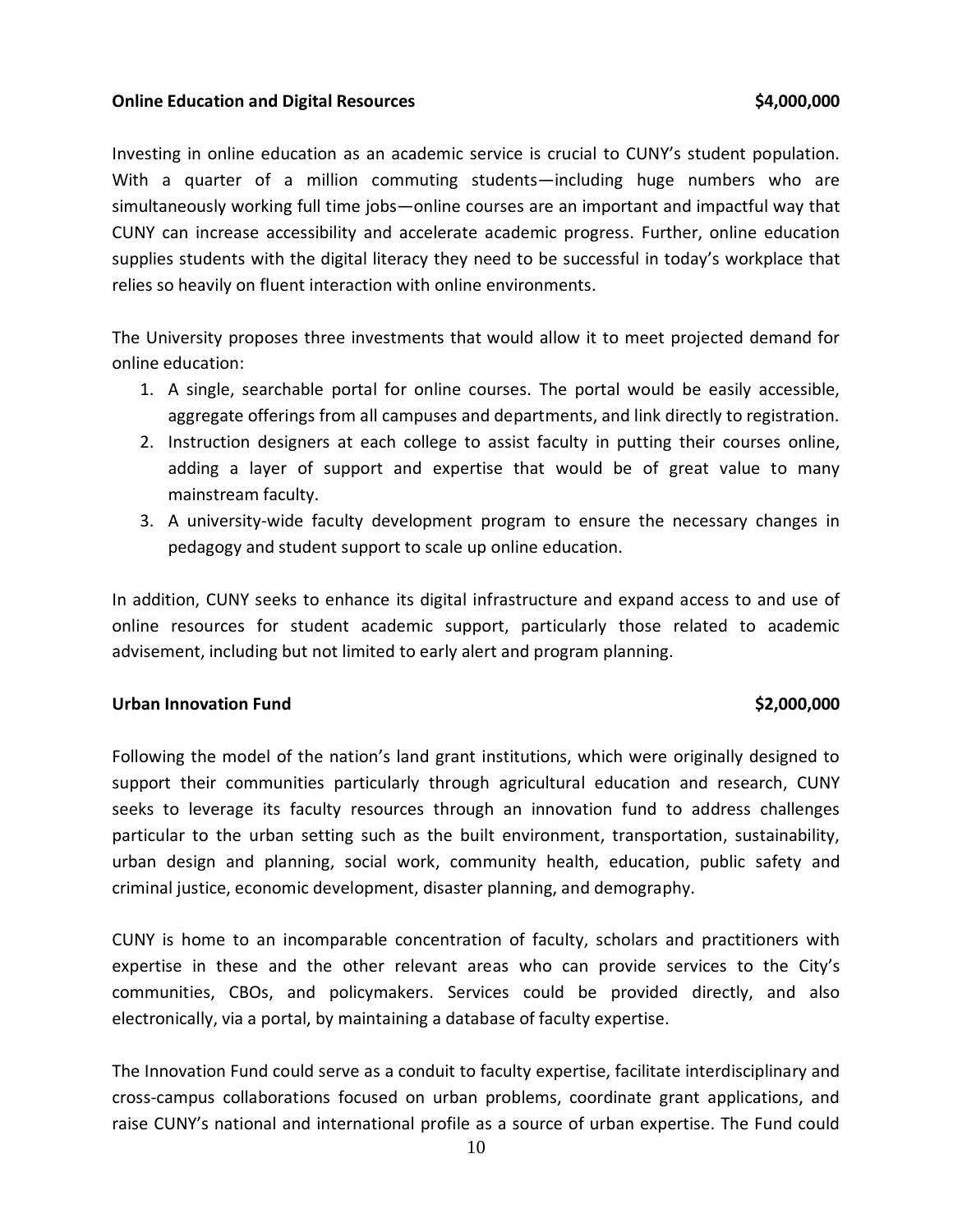### **Online Education and Digital Resources <b>1988 54,000,000**

Investing in online education as an academic service is crucial to CUNY's student population. With a quarter of a million commuting students—including huge numbers who are simultaneously working full time jobs—online courses are an important and impactful way that CUNY can increase accessibility and accelerate academic progress. Further, online education supplies students with the digital literacy they need to be successful in today's workplace that relies so heavily on fluent interaction with online environments.

The University proposes three investments that would allow it to meet projected demand for online education:

- 1. A single, searchable portal for online courses. The portal would be easily accessible, aggregate offerings from all campuses and departments, and link directly to registration.
- 2. Instruction designers at each college to assist faculty in putting their courses online, adding a layer of support and expertise that would be of great value to many mainstream faculty.
- 3. A university-wide faculty development program to ensure the necessary changes in pedagogy and student support to scale up online education.

In addition, CUNY seeks to enhance its digital infrastructure and expand access to and use of online resources for student academic support, particularly those related to academic advisement, including but not limited to early alert and program planning.

### **Urban Innovation Fund \$2,000,000**

Following the model of the nation's land grant institutions, which were originally designed to support their communities particularly through agricultural education and research, CUNY seeks to leverage its faculty resources through an innovation fund to address challenges particular to the urban setting such as the built environment, transportation, sustainability, urban design and planning, social work, community health, education, public safety and criminal justice, economic development, disaster planning, and demography.

CUNY is home to an incomparable concentration of faculty, scholars and practitioners with expertise in these and the other relevant areas who can provide services to the City's communities, CBOs, and policymakers. Services could be provided directly, and also electronically, via a portal, by maintaining a database of faculty expertise.

The Innovation Fund could serve as a conduit to faculty expertise, facilitate interdisciplinary and cross-campus collaborations focused on urban problems, coordinate grant applications, and raise CUNY's national and international profile as a source of urban expertise. The Fund could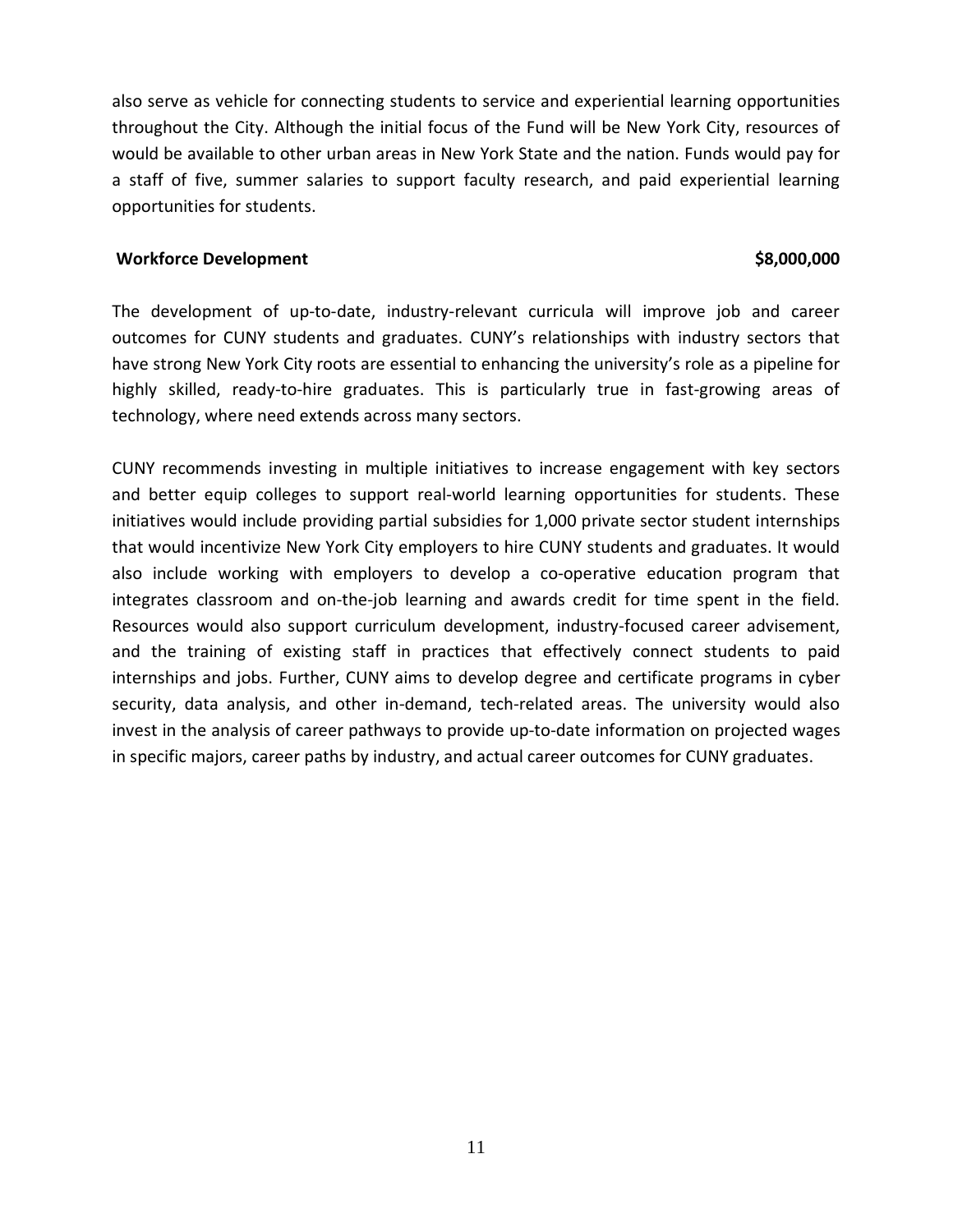also serve as vehicle for connecting students to service and experiential learning opportunities throughout the City. Although the initial focus of the Fund will be New York City, resources of would be available to other urban areas in New York State and the nation. Funds would pay for a staff of five, summer salaries to support faculty research, and paid experiential learning opportunities for students.

### **Workforce Development \$8,000,000**

The development of up-to-date, industry-relevant curricula will improve job and career outcomes for CUNY students and graduates. CUNY's relationships with industry sectors that have strong New York City roots are essential to enhancing the university's role as a pipeline for highly skilled, ready-to-hire graduates. This is particularly true in fast-growing areas of technology, where need extends across many sectors.

CUNY recommends investing in multiple initiatives to increase engagement with key sectors and better equip colleges to support real-world learning opportunities for students. These initiatives would include providing partial subsidies for 1,000 private sector student internships that would incentivize New York City employers to hire CUNY students and graduates. It would also include working with employers to develop a co-operative education program that integrates classroom and on-the-job learning and awards credit for time spent in the field. Resources would also support curriculum development, industry-focused career advisement, and the training of existing staff in practices that effectively connect students to paid internships and jobs. Further, CUNY aims to develop degree and certificate programs in cyber security, data analysis, and other in-demand, tech-related areas. The university would also invest in the analysis of career pathways to provide up-to-date information on projected wages in specific majors, career paths by industry, and actual career outcomes for CUNY graduates.